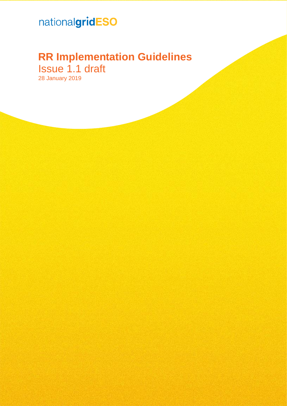# nationalgridESO

# **RR Implementation Guidelines** Issue 1.1 draft

28 January 2019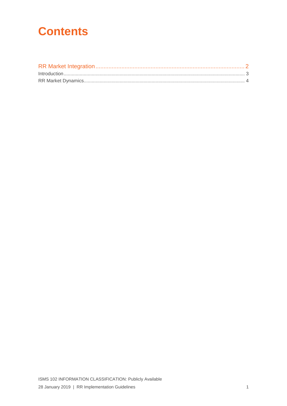# **Contents**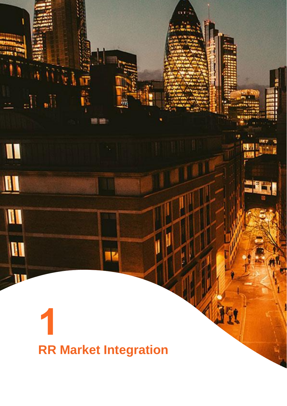# <span id="page-2-0"></span>**RR Market Integration**

IK

y I m

 $\frac{1}{2}$  ,  $\frac{1}{2}$ 

I

 $\blacksquare$ 

I

**III** 

 $\mathbb{Z}$ ll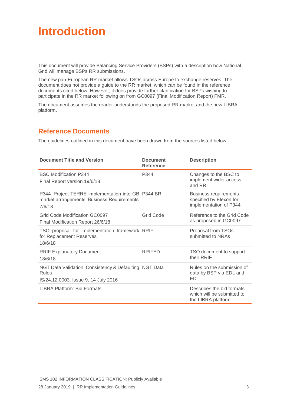# <span id="page-3-0"></span>**Introduction**

This document will provide Balancing Service Providers (BSPs) with a description how National Grid will manage BSPs RR submissions.

The new pan-European RR market allows TSOs across Europe to exchange reserves. The document does not provide a guide to the RR market, which can be found in the reference documents cited below. However, it does provide further clarification for BSPs wishing to participate in the RR market following on from GC0097 (Final Modification Report) FMR.

The document assumes the reader understands the proposed RR market and the new LIBRA platform.

## **Reference Documents**

The guidelines outlined in this document have been drawn from the sources listed below:

| <b>Document Title and Version</b>                                                                          | <b>Document</b><br><b>Reference</b> | <b>Description</b>                                                                |
|------------------------------------------------------------------------------------------------------------|-------------------------------------|-----------------------------------------------------------------------------------|
| <b>BSC Modification P344</b><br>Final Report version 19/6/18                                               | P344                                | Changes to the BSC to<br>implement wider access<br>and RR                         |
| P344 'Project TERRE implementation into GB P344 BR<br>market arrangements' Business Requirements<br>7/6/18 |                                     | <b>Business requirements</b><br>specified by Elexon for<br>implementation of P344 |
| Grid Code Modification GC0097<br>Final Modification Report 26/6/18                                         | <b>Grid Code</b>                    | Reference to the Grid Code<br>as proposed in GC0097                               |
| TSO proposal for implementation framework RRIF<br>for Replacement Reserves<br>18/6/18                      |                                     | Proposal from TSOs<br>submitted to NRAs                                           |
| <b>RRIF Explanatory Document</b><br>18/6/18                                                                | <b>RRIFED</b>                       | TSO document to support<br>their RRIF                                             |
| NGT Data Validation, Consistency & Defaulting NGT Data<br>Rules<br>IS/24.12.0003, Issue 9, 14 July 2016    |                                     | Rules on the submission of<br>data by BSP via EDL and<br><b>EDT</b>               |
| LIBRA Platform: Bid Formats                                                                                |                                     | Describes the bid formats<br>which will be submitted to<br>the LIBRA platform     |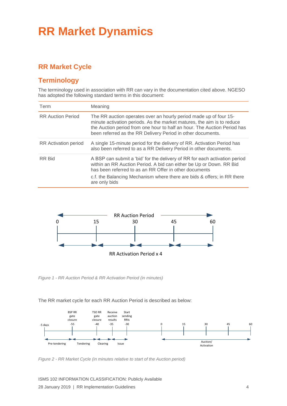# <span id="page-4-0"></span>**RR Market Dynamics**

# **RR Market Cycle**

## **Terminology**

The terminology used in association with RR can vary in the documentation cited above. NGESO has adopted the following standard terms in this document:

| Term                     | Meaning                                                                                                                                                                                                                                                                                                 |
|--------------------------|---------------------------------------------------------------------------------------------------------------------------------------------------------------------------------------------------------------------------------------------------------------------------------------------------------|
| <b>RR Auction Period</b> | The RR auction operates over an hourly period made up of four 15-<br>minute activation periods. As the market matures, the aim is to reduce<br>the Auction period from one hour to half an hour. The Auction Period has<br>been referred as the RR Delivery Period in other documents.                  |
| RR Activation period     | A single 15-minute period for the delivery of RR. Activation Period has<br>also been referred to as a RR Delivery Period in other documents.                                                                                                                                                            |
| RR Bid                   | A BSP can submit a 'bid' for the delivery of RR for each activation period<br>within an RR Auction Period. A bid can either be Up or Down. RR Bid<br>has been referred to as an RR Offer in other documents<br>c.f. the Balancing Mechanism where there are bids & offers; in RR there<br>are only bids |



*Figure 1 - RR Auction Period & RR Activation Period (in minutes)*

#### The RR market cycle for each RR Auction Period is described as below:



*Figure 2 - RR Market Cycle (in minutes relative to start of the Auction period)*

ISMS 102 INFORMATION CLASSIFICATION: Publicly Available 28 January 2019 | RR Implementation Guidelines 4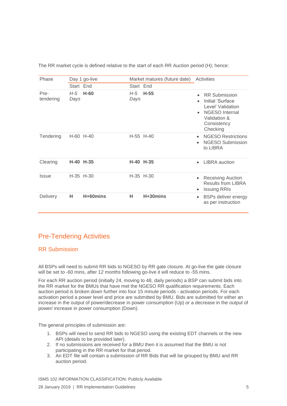| Phase                      |             | Day 1 go-live |             | Market matures (future date) |           | Activities                                                                                                                        |
|----------------------------|-------------|---------------|-------------|------------------------------|-----------|-----------------------------------------------------------------------------------------------------------------------------------|
|                            | Start End   |               | Start End   |                              |           |                                                                                                                                   |
| Pre-<br>tendering          | H-5<br>Days | $H-60$        | H-5<br>Days | $H-55$                       | $\bullet$ | <b>RR Submission</b><br>Initial 'Surface<br>Level' Validation<br><b>NGESO</b> Internal<br>Validation &<br>Consistency<br>Checking |
| Tendering                  |             | H-60 H-40     |             | $H-55$ H-40                  | $\bullet$ | <b>NGESO Restrictions</b><br><b>NGESO Submission</b><br>to LIBRA                                                                  |
| Clearing                   | <b>H-40</b> | $H-35$        |             | H-40 H-35                    | $\bullet$ | <b>LIBRA</b> auction                                                                                                              |
| <i><u><b>Issue</b></u></i> |             | $H-35$ $H-30$ |             | $H-35$ $H-30$                | $\bullet$ | <b>Receiving Auction</b><br><b>Results from LIBRA</b><br><b>Issuing RRIs</b>                                                      |
| <b>Delivery</b>            | н           | H+60mins      | н           | $H + 30$ mins                |           | <b>BSPs deliver energy</b><br>as per instruction                                                                                  |

The RR market cycle is defined relative to the start of each RR Auction period (H); hence:

# Pre-Tendering Activities

#### RR Submission

All BSPs will need to submit RR bids to NGESO by RR gate closure. At go-live the gate closure will be set to -60 mins, after 12 months following go-live it will reduce to -55 mins.

For each RR auction period (initially 24, moving to 48, daily periods) a BSP can submit bids into the RR market for the BMUs that have met the NGESO RR qualification requirements. Each auction period is broken down further into four 15 minute periods - activation periods. For each activation period a power level and price are submitted by BMU. Bids are submitted for either an increase in the output of power/decrease in power consumption (Up) or a decrease in the output of power/ increase in power consumption (Down).

The general principles of submission are:

- 1. BSPs will need to send RR bids to NGESO using the existing EDT channels or the new API (details to be provided later).
- 2. If no submissions are received for a BMU then it is assumed that the BMU is not participating in the RR market for that period.
- 3. An EDT file will contain a submission of RR Bids that will be grouped by BMU and RR auction period.

ISMS 102 INFORMATION CLASSIFICATION: Publicly Available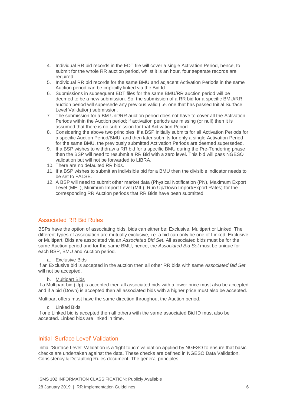- 4. Individual RR bid records in the EDT file will cover a single Activation Period, hence, to submit for the whole RR auction period, whilst it is an hour, four separate records are required.
- 5. Individual RR bid records for the same BMU and adjacent Activation Periods in the same Auction period can be implicitly linked via the Bid Id.
- 6. Submissions in subsequent EDT files for the same BMU/RR auction period will be deemed to be a new submission. So, the submission of a RR bid for a specific BMU/RR auction period will supersede any previous valid (i.e. one that has passed Initial Surface Level Validation) submission.
- 7. The submission for a BM Unit/RR auction period does not have to cover all the Activation Periods within the Auction period; if activation periods are missing (or null) then it is assumed that there is no submission for that Activation Period.
- 8. Considering the above two principles, if a BSP initially submits for all Activation Periods for a specific Auction Period/BMU, and then later submits for only a single Activation Period for the same BMU, the previously submitted Activation Periods are deemed superseded.
- 9. If a BSP wishes to withdraw a RR bid for a specific BMU during the Pre-Tendering phase then the BSP will need to resubmit a RR Bid with a zero level. This bid will pass NGESO validation but will not be forwarded to LIBRA.
- 10. There are no defaulted RR bids.
- 11. If a BSP wishes to submit an indivisible bid for a BMU then the divisible indicator needs to be set to FALSE.
- 12. A BSP will need to submit other market data (Physical Notification (PN), Maximum Export Level (MEL), Minimum Import Level (MIL), Run Up/Down Import/Export Rates) for the corresponding RR Auction periods that RR Bids have been submitted.

#### Associated RR Bid Rules

BSPs have the option of associating bids, bids can either be: Exclusive, Multipart or Linked. The different types of association are mutually exclusive, i.e. a bid can only be one of Linked, Exclusive or Multipart. Bids are associated via an *Associated Bid Set*. All associated bids must be for the same Auction period and for the same BMU, hence, the *Associated Bid Set* must be unique for each BSP, BMU and Auction period.

#### a. Exclusive Bids

If an Exclusive bid is accepted in the auction then all other RR bids with same *Associated Bid Set* will not be accepted.

b. Multipart Bids

If a Multipart bid (Up) is accepted then all associated bids with a lower price must also be accepted and if a bid (Down) is accepted then all associated bids with a higher price must also be accepted.

Multipart offers must have the same direction throughout the Auction period.

c. Linked Bids

If one Linked bid is accepted then all others with the same associated Bid ID must also be accepted. Linked bids are linked in time.

#### Initial 'Surface Level' Validation

Initial 'Surface Level' Validation is a 'light touch' validation applied by NGESO to ensure that basic checks are undertaken against the data. These checks are defined in NGESO Data Validation, Consistency & Defaulting Rules document. The general principles: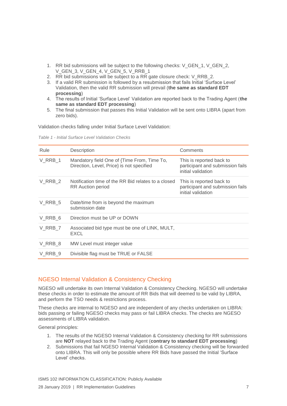- 1. RR bid submissions will be subject to the following checks: V\_GEN\_1, V\_GEN\_2, V\_GEN\_3, V\_GEN\_4, V\_GEN\_5, V\_RRB\_1
- 2. RR bid submissions will be subject to a RR gate closure check: V\_RRB\_2.
- 3. If a valid RR submission is followed by a resubmission that fails Initial 'Surface Level' Validation, then the valid RR submission will prevail (**the same as standard EDT processing**)
- 4. The results of Initial 'Surface Level' Validation are reported back to the Trading Agent (**the same as standard EDT processing**)
- 5. The final submission that passes this Initial Validation will be sent onto LIBRA (apart from zero bids).

Validation checks falling under Initial Surface Level Validation:

| Table 1 - Initial Surface Level Validation Checks |  |  |  |  |  |  |
|---------------------------------------------------|--|--|--|--|--|--|
|---------------------------------------------------|--|--|--|--|--|--|

| Rule    | Description                                                                              | Comments                                                                           |
|---------|------------------------------------------------------------------------------------------|------------------------------------------------------------------------------------|
| V RRB 1 | Mandatory field One of {Time From, Time To,<br>Direction, Level, Price} is not specified | This is reported back to<br>participant and submission fails<br>initial validation |
| V RRB 2 | Notification time of the RR Bid relates to a closed<br><b>RR</b> Auction period          | This is reported back to<br>participant and submission fails<br>initial validation |
| V RRB 5 | Date/time from is beyond the maximum<br>submission date                                  |                                                                                    |
| V RRB 6 | Direction must be UP or DOWN                                                             |                                                                                    |
| V RRB 7 | Associated bid type must be one of LINK, MULT,<br><b>EXCL</b>                            |                                                                                    |
| V RRB 8 | MW Level must integer value                                                              |                                                                                    |
| V RRB 9 | Divisible flag must be TRUE or FALSE                                                     |                                                                                    |

#### NGESO Internal Validation & Consistency Checking

NGESO will undertake its own Internal Validation & Consistency Checking. NGESO will undertake these checks in order to estimate the amount of RR Bids that will deemed to be valid by LIBRA, and perform the TSO needs & restrictions process.

These checks are internal to NGESO and are independent of any checks undertaken on LIBRA: bids passing or failing NGESO checks may pass or fail LIBRA checks. The checks are NGESO assessments of LIBRA validation.

General principles:

- 1. The results of the NGESO Internal Validation & Consistency checking for RR submissions are **NOT** relayed back to the Trading Agent (**contrary to standard EDT processing**)
- 2. Submissions that fail NGESO Internal Validation & Consistency checking will be forwarded onto LIBRA. This will only be possible where RR Bids have passed the Initial 'Surface Level' checks.

ISMS 102 INFORMATION CLASSIFICATION: Publicly Available 28 January 2019 | RR Implementation Guidelines 7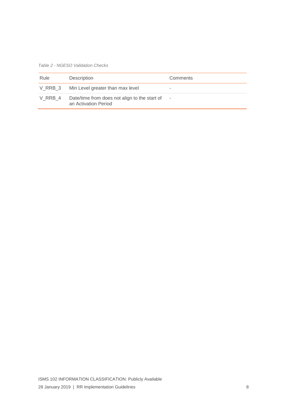*Table 2 - NGESO Validation Checks*

| Rule    | Description                                                           | Comments |
|---------|-----------------------------------------------------------------------|----------|
|         | V_RRB_3 Min Level greater than max level                              | -        |
| V RRB 4 | Date/time from does not align to the start of<br>an Activation Period | $\sim$   |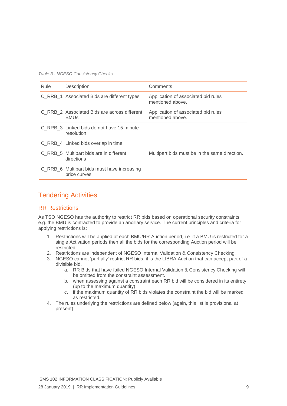*Table 3 - NGESO Consistency Checks*

| Rule | Description                                                 | Comments                                                |
|------|-------------------------------------------------------------|---------------------------------------------------------|
|      | C RRB 1 Associated Bids are different types                 | Application of associated bid rules<br>mentioned above. |
|      | C RRB 2 Associated Bids are across different<br><b>BMUs</b> | Application of associated bid rules<br>mentioned above. |
|      | C RRB 3 Linked bids do not have 15 minute<br>resolution     |                                                         |
|      | C RRB 4 Linked bids overlap in time                         |                                                         |
|      | C_RRB_5 Multipart bids are in different<br>directions       | Multipart bids must be in the same direction.           |
|      | C_RRB_6 Multipart bids must have increasing<br>price curves |                                                         |

## Tendering Activities

#### RR Restrictions

As TSO NGESO has the authority to restrict RR bids based on operational security constraints. e.g. the BMU is contracted to provide an ancillary service. The current principles and criteria for applying restrictions is:

- 1. Restrictions will be applied at each BMU/RR Auction period, i.e. if a BMU is restricted for a single Activation periods then all the bids for the corresponding Auction period will be restricted.
- 2. Restrictions are independent of NGESO Internal Validation & Consistency Checking.
- 3. NGESO cannot 'partially' restrict RR bids, it is the LIBRA Auction that can accept part of a divisible bid.
	- a. RR Bids that have failed NGESO Internal Validation & Consistency Checking will be omitted from the constraint assessment.
	- b. when assessing against a constraint each RR bid will be considered in its entirety (up to the maximum quantity)
	- c. if the maximum quantity of RR bids violates the constraint the bid will be marked as restricted.
- 4. The rules underlying the restrictions are defined below (again, this list is provisional at present)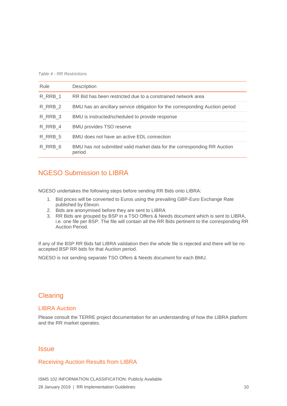*Table 4 - RR Restrictions*

| Rule    | Description                                                                        |
|---------|------------------------------------------------------------------------------------|
| R RRB 1 | RR Bid has been restricted due to a constrained network area                       |
| R RRB 2 | BMU has an ancillary service obligation for the corresponding Auction period       |
| R RRB 3 | BMU is instructed/scheduled to provide response                                    |
| R RRB 4 | <b>BMU provides TSO reserve</b>                                                    |
| R RRB 5 | BMU does not have an active EDL connection                                         |
| R RRB 6 | BMU has not submitted valid market data for the corresponding RR Auction<br>period |

## NGESO Submission to LIBRA

NGESO undertakes the following steps before sending RR Bids onto LIBRA:

- 1. Bid prices will be converted to Euros using the prevailing GBP-Euro Exchange Rate published by Elexon.
- 2. Bids are anonymised before they are sent to LIBRA
- 3. RR Bids are grouped by BSP in a TSO Offers & Needs document which is sent to LIBRA, i.e. one file per BSP. The file will contain all the RR Bids pertinent to the corresponding RR Auction Period.

If any of the BSP RR Bids fail LIBRA validation then the whole file is rejected and there will be no accepted BSP RR bids for that Auction period.

NGESO is not sending separate TSO Offers & Needs document for each BMU.

## **Clearing**

#### LIBRA Auction

Please consult the TERRE project documentation for an understanding of how the LIBRA platform and the RR market operates.

### **Issue**

#### Receiving Auction Results from LIBRA

ISMS 102 INFORMATION CLASSIFICATION: Publicly Available 28 January 2019 | RR Implementation Guidelines 10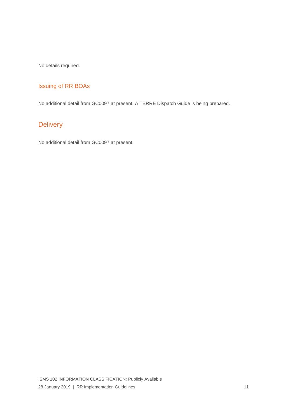No details required.

## Issuing of RR BOAs

No additional detail from GC0097 at present. A TERRE Dispatch Guide is being prepared.

# **Delivery**

No additional detail from GC0097 at present.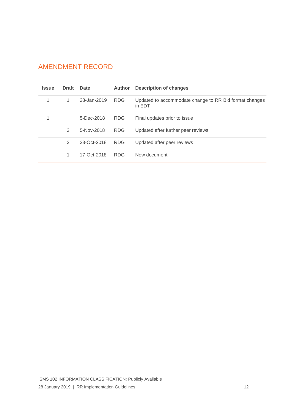# AMENDMENT RECORD

| <b>Issue</b> | <b>Draft</b> | Date        | <b>Author</b> | <b>Description of changes</b>                                    |
|--------------|--------------|-------------|---------------|------------------------------------------------------------------|
| 1            | $\mathbf{1}$ | 28-Jan-2019 | <b>RDG</b>    | Updated to accommodate change to RR Bid format changes<br>in EDT |
|              |              | 5-Dec-2018  | <b>RDG</b>    | Final updates prior to issue                                     |
|              | 3            | 5-Nov-2018  | <b>RDG</b>    | Updated after further peer reviews                               |
|              | 2            | 23-Oct-2018 | <b>RDG</b>    | Updated after peer reviews                                       |
|              |              | 17-Oct-2018 | <b>RDG</b>    | New document                                                     |